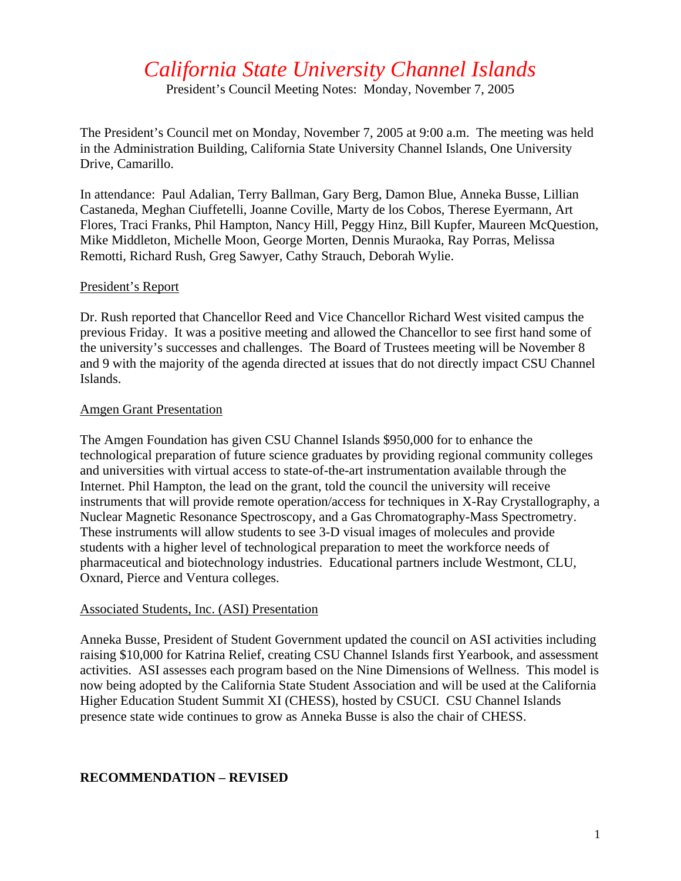# *California State University Channel Islands*

President's Council Meeting Notes: Monday, November 7, 2005

The President's Council met on Monday, November 7, 2005 at 9:00 a.m. The meeting was held in the Administration Building, California State University Channel Islands, One University Drive, Camarillo.

In attendance: Paul Adalian, Terry Ballman, Gary Berg, Damon Blue, Anneka Busse, Lillian Castaneda, Meghan Ciuffetelli, Joanne Coville, Marty de los Cobos, Therese Eyermann, Art Flores, Traci Franks, Phil Hampton, Nancy Hill, Peggy Hinz, Bill Kupfer, Maureen McQuestion, Mike Middleton, Michelle Moon, George Morten, Dennis Muraoka, Ray Porras, Melissa Remotti, Richard Rush, Greg Sawyer, Cathy Strauch, Deborah Wylie.

#### President's Report

Dr. Rush reported that Chancellor Reed and Vice Chancellor Richard West visited campus the previous Friday. It was a positive meeting and allowed the Chancellor to see first hand some of the university's successes and challenges. The Board of Trustees meeting will be November 8 and 9 with the majority of the agenda directed at issues that do not directly impact CSU Channel Islands.

#### Amgen Grant Presentation

The Amgen Foundation has given CSU Channel Islands \$950,000 for to enhance the technological preparation of future science graduates by providing regional community colleges and universities with virtual access to state-of-the-art instrumentation available through the Internet. Phil Hampton, the lead on the grant, told the council the university will receive instruments that will provide remote operation/access for techniques in X-Ray Crystallography, a Nuclear Magnetic Resonance Spectroscopy, and a Gas Chromatography-Mass Spectrometry. These instruments will allow students to see 3-D visual images of molecules and provide students with a higher level of technological preparation to meet the workforce needs of pharmaceutical and biotechnology industries. Educational partners include Westmont, CLU, Oxnard, Pierce and Ventura colleges.

## Associated Students, Inc. (ASI) Presentation

Anneka Busse, President of Student Government updated the council on ASI activities including raising \$10,000 for Katrina Relief, creating CSU Channel Islands first Yearbook, and assessment activities. ASI assesses each program based on the Nine Dimensions of Wellness. This model is now being adopted by the California State Student Association and will be used at the California Higher Education Student Summit XI (CHESS), hosted by CSUCI. CSU Channel Islands presence state wide continues to grow as Anneka Busse is also the chair of CHESS.

## **RECOMMENDATION – REVISED**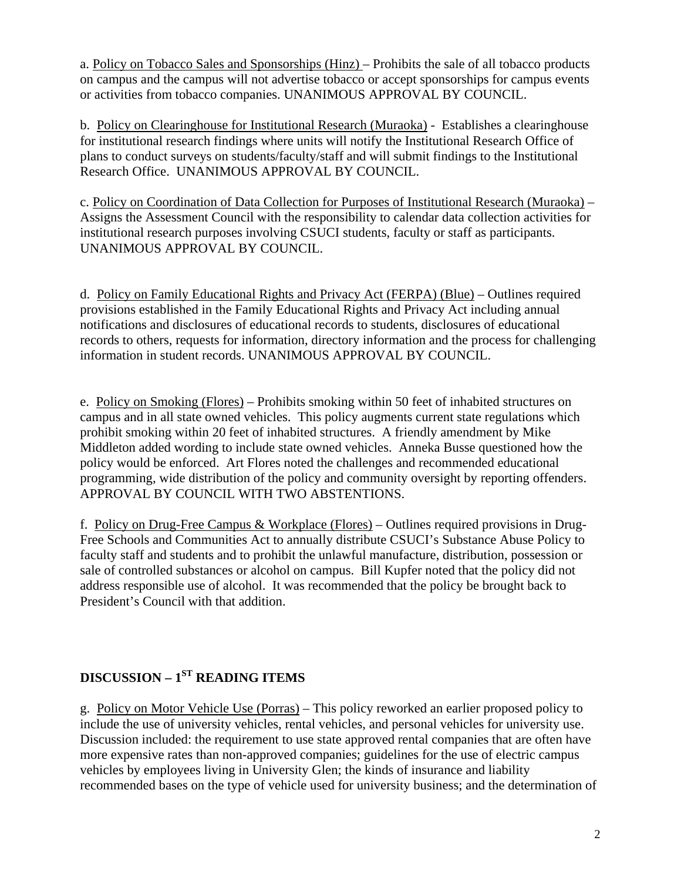a. Policy on Tobacco Sales and Sponsorships (Hinz) – Prohibits the sale of all tobacco products on campus and the campus will not advertise tobacco or accept sponsorships for campus events or activities from tobacco companies. UNANIMOUS APPROVAL BY COUNCIL.

b. Policy on Clearinghouse for Institutional Research (Muraoka) - Establishes a clearinghouse for institutional research findings where units will notify the Institutional Research Office of plans to conduct surveys on students/faculty/staff and will submit findings to the Institutional Research Office. UNANIMOUS APPROVAL BY COUNCIL.

c. Policy on Coordination of Data Collection for Purposes of Institutional Research (Muraoka) – Assigns the Assessment Council with the responsibility to calendar data collection activities for institutional research purposes involving CSUCI students, faculty or staff as participants. UNANIMOUS APPROVAL BY COUNCIL.

d. Policy on Family Educational Rights and Privacy Act (FERPA) (Blue) – Outlines required provisions established in the Family Educational Rights and Privacy Act including annual notifications and disclosures of educational records to students, disclosures of educational records to others, requests for information, directory information and the process for challenging information in student records. UNANIMOUS APPROVAL BY COUNCIL.

e. Policy on Smoking (Flores) – Prohibits smoking within 50 feet of inhabited structures on campus and in all state owned vehicles. This policy augments current state regulations which prohibit smoking within 20 feet of inhabited structures. A friendly amendment by Mike Middleton added wording to include state owned vehicles. Anneka Busse questioned how the policy would be enforced. Art Flores noted the challenges and recommended educational programming, wide distribution of the policy and community oversight by reporting offenders. APPROVAL BY COUNCIL WITH TWO ABSTENTIONS.

f. Policy on Drug-Free Campus & Workplace (Flores) – Outlines required provisions in Drug-Free Schools and Communities Act to annually distribute CSUCI's Substance Abuse Policy to faculty staff and students and to prohibit the unlawful manufacture, distribution, possession or sale of controlled substances or alcohol on campus. Bill Kupfer noted that the policy did not address responsible use of alcohol. It was recommended that the policy be brought back to President's Council with that addition.

# **DISCUSSION – 1ST READING ITEMS**

g. Policy on Motor Vehicle Use (Porras) – This policy reworked an earlier proposed policy to include the use of university vehicles, rental vehicles, and personal vehicles for university use. Discussion included: the requirement to use state approved rental companies that are often have more expensive rates than non-approved companies; guidelines for the use of electric campus vehicles by employees living in University Glen; the kinds of insurance and liability recommended bases on the type of vehicle used for university business; and the determination of